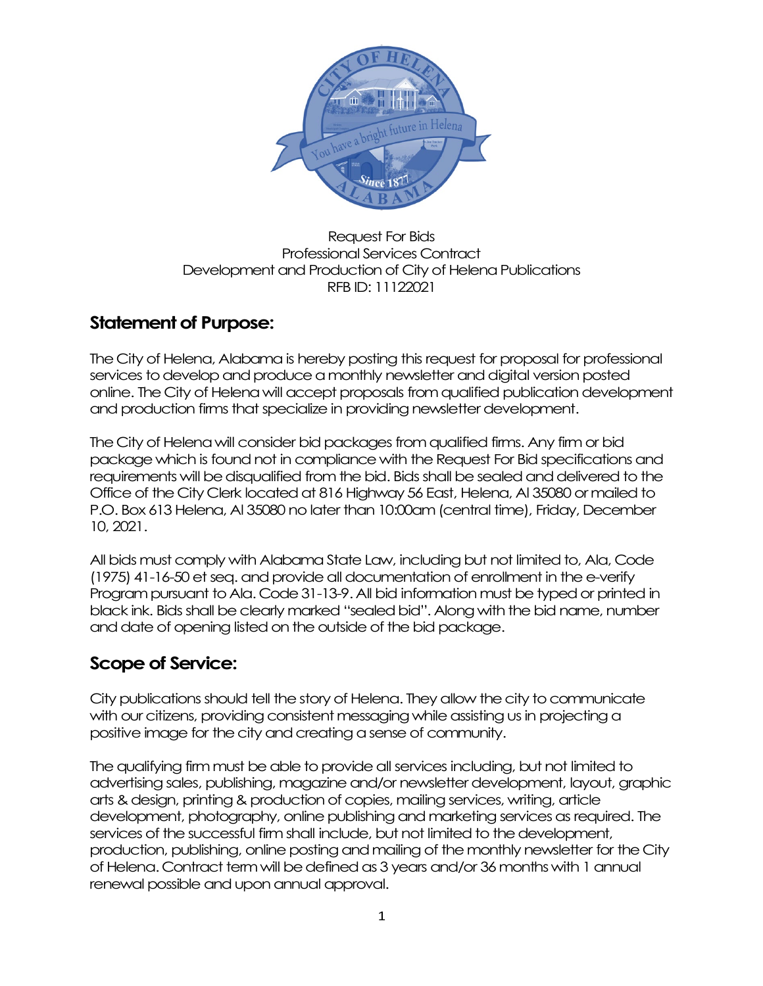

#### Request For Bids Professional Services Contract Development and Production of City of Helena Publications RFB ID: 11122021

# **Statement of Purpose:**

The City of Helena, Alabama is hereby posting this request for proposal for professional services to develop and produce a monthly newsletter and digital version posted online. The City of Helena will accept proposals from qualified publicationdevelopment and production firms that specialize in providing newsletter development.

The City of Helena will consider bid packages from qualified firms. Any firm or bid package which is found not in compliance with the Request For Bid specifications and requirements will be disqualified from the bid. Bids shall be sealed and delivered to the Office of the City Clerk located at 816 Highway 56 East, Helena, Al 35080 or mailed to P.O. Box 613 Helena, Al 35080 no later than 10:00am (central time), Friday, December 10, 2021.

All bids must comply with Alabama State Law, including but not limited to, Ala, Code (1975) 41-16-50 et seq. and provide all documentation of enrollment in the e-verify Program pursuant to Ala. Code 31-13-9. All bid information must be typed or printed in black ink. Bids shall be clearly marked "sealed bid". Along with the bid name, number and date of opening listed on the outside of the bid package.

# **Scope of Service:**

City publications should tell the story of Helena. They allow the city to communicate with our citizens, providing consistent messaging while assisting us in projecting a positive image for the city and creating a sense of community.

The qualifying firm must be able to provide all services including, but not limited to advertising sales, publishing, magazine and/or newsletter development, layout, graphic arts & design, printing & production of copies, mailing services, writing, article development, photography, online publishing and marketing services as required. The services of the successful firm shall include, but not limited to the development, production, publishing, online posting and mailing of the monthly newsletter for the City of Helena. Contract term will be defined as 3 years and/or 36 monthswith 1 annual renewal possible and upon annual approval.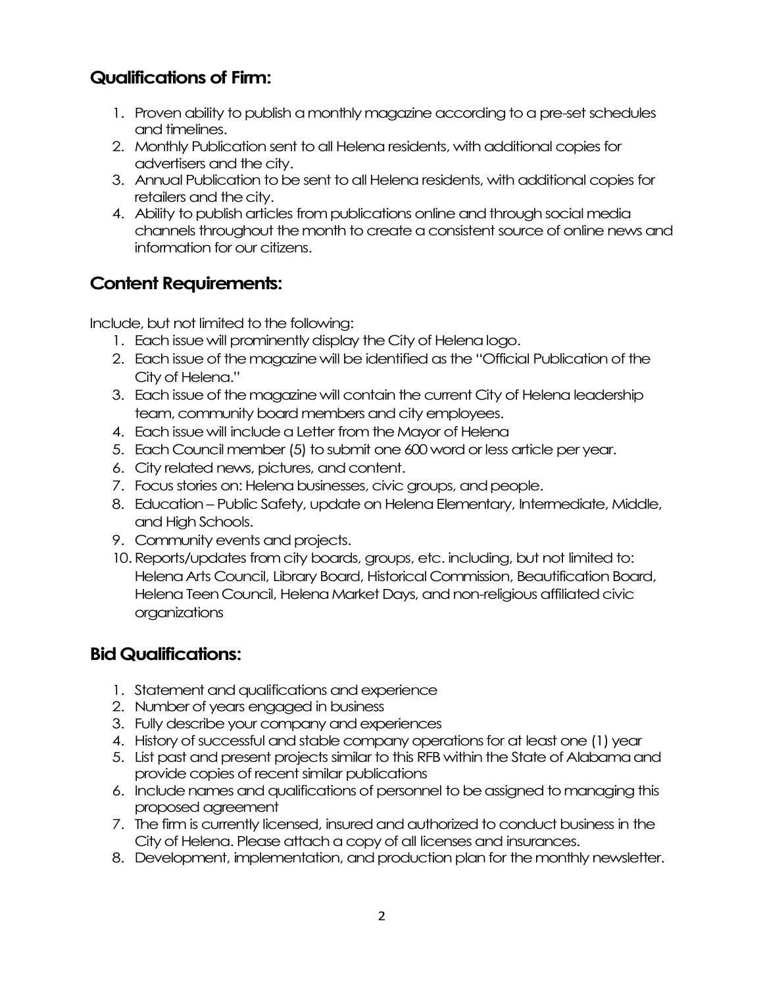## **Qualifications of Firm:**

- 1. Proven ability to publish a monthly magazine according to a pre-set schedules and timelines.
- 2. Monthly Publication sent to all Helena residents, with additional copies for advertisers and the city.
- 3. Annual Publication to be sent to all Helena residents, with additional copies for retailers and the city.
- 4. Ability to publish articles from publications online and through social media channels throughout the month to create a consistent source of online news and information for our citizens.

# **Content Requirements:**

Include, but not limited to the following:

- 1. Each issue will prominently display the City of Helena logo.
- 2. Each issue of the magazine will be identified as the "Official Publication of the City of Helena."
- 3. Each issue of the magazine will contain the current City of Helena leadership team, community board members and city employees.
- 4. Each issue will include a Letter from the Mayor of Helena
- 5. Each Council member (5) to submit one 600 word or less article per year.
- 6. City related news, pictures, and content.
- 7. Focus stories on: Helena businesses, civic groups, and people.
- 8. Education Public Safety, update on Helena Elementary, Intermediate, Middle, and High Schools.
- 9. Community events and projects.
- 10.Reports/updates from city boards, groups, etc. including, but not limited to: Helena Arts Council, Library Board, Historical Commission, Beautification Board, Helena Teen Council, Helena Market Days, and non-religiousaffiliated civic organizations

### **Bid Qualifications:**

- 1. Statement and qualifications and experience
- 2. Number of years engaged in business
- 3. Fully describe your company and experiences
- 4. History of successful and stable company operations for at least one (1) year
- 5. List past and present projects similar to this RFB within the State of Alabama and provide copies of recent similar publications
- 6. Include names and qualifications of personnel to be assigned to managing this proposed agreement
- 7. The firm is currently licensed, insured and authorized to conduct business in the City of Helena. Please attach a copy of all licenses and insurances.
- 8. Development, implementation, and production plan for the monthly newsletter.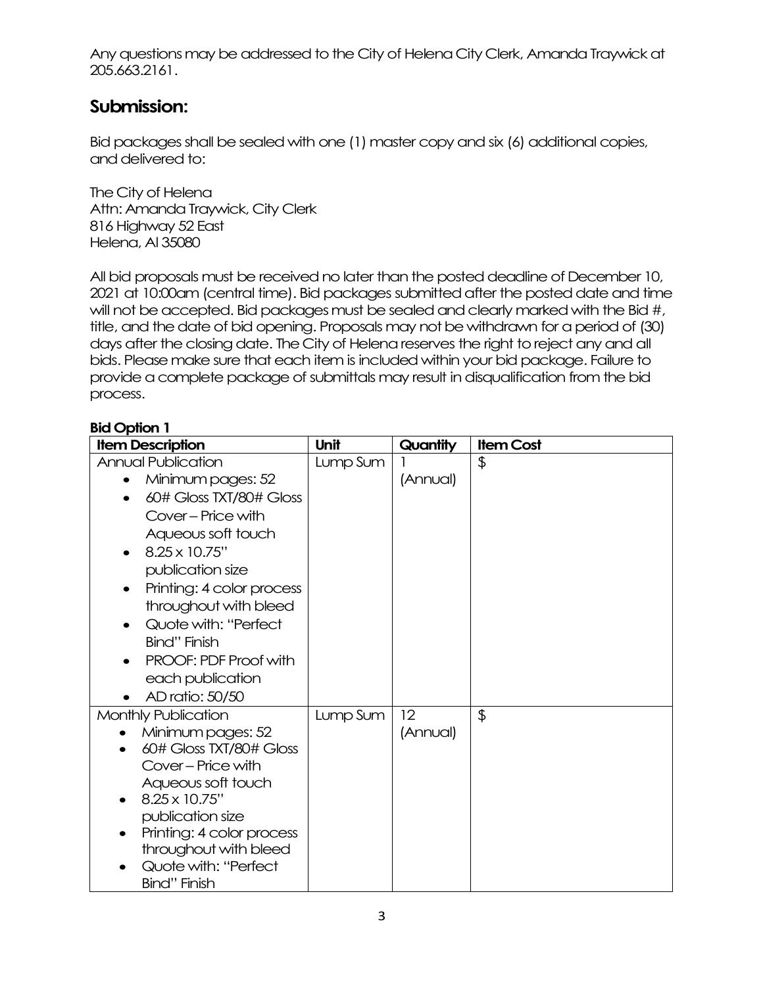Any questions may be addressed to the City of Helena City Clerk, Amanda Traywickat 205.663.2161.

### **Submission:**

Bid packages shall be sealed with one (1) master copy and six (6) additional copies, and delivered to:

The City of Helena Attn: Amanda Traywick, City Clerk 816 Highway 52 East Helena, Al 35080

All bid proposals must be received no later than the posted deadline of December 10, 2021 at 10:00am (central time). Bid packages submitted after the posted date and time will not be accepted. Bid packages must be sealed and clearly marked with the Bid #, title, and the date of bid opening. Proposals may not be withdrawn for a period of (30) days after the closing date. The City of Helena reserves the right to reject any and all bids. Please make sure that each item is included within your bid package. Failure to provide a complete package of submittals may result in disqualification from the bid process.

### **Bid Option 1**

| <b>Item Description</b>                      | Unit     | Quantity | <b>Item Cost</b> |
|----------------------------------------------|----------|----------|------------------|
| <b>Annual Publication</b>                    | Lump Sum |          | $\frac{1}{2}$    |
| Minimum pages: 52                            |          | (Annual) |                  |
| 60# Gloss TXT/80# Gloss                      |          |          |                  |
| Cover - Price with                           |          |          |                  |
| Aqueous soft touch                           |          |          |                  |
| 8.25 x 10.75"                                |          |          |                  |
| publication size                             |          |          |                  |
| Printing: 4 color process<br>$\bullet$       |          |          |                  |
| throughout with bleed                        |          |          |                  |
| Quote with: "Perfect                         |          |          |                  |
| Bind" Finish                                 |          |          |                  |
| <b>PROOF: PDF Proof with</b>                 |          |          |                  |
| each publication                             |          |          |                  |
| AD ratio: 50/50                              |          |          |                  |
|                                              |          | 12       |                  |
| Monthly Publication                          | Lump Sum |          | $\frac{1}{2}$    |
| Minimum pages: 52<br>60# Gloss TXT/80# Gloss |          | (Annual) |                  |
| Cover - Price with                           |          |          |                  |
| Aqueous soft touch                           |          |          |                  |
| 8.25 x 10.75"                                |          |          |                  |
| publication size                             |          |          |                  |
| Printing: 4 color process                    |          |          |                  |
| throughout with bleed                        |          |          |                  |
| Quote with: "Perfect                         |          |          |                  |
| <b>Bind"</b> Finish                          |          |          |                  |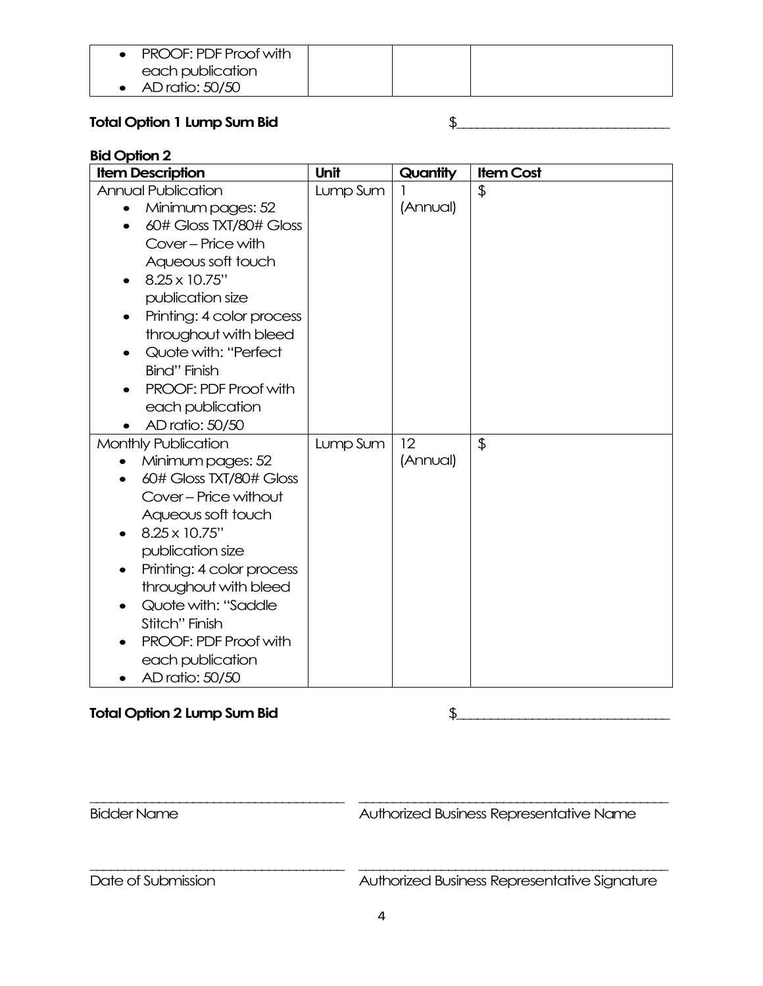| <b>PROOF: PDF Proof with</b> |  |  |
|------------------------------|--|--|
| each publication             |  |  |
| AD ratio: 50/50              |  |  |

### **Total Option 1 Lump Sum Bid** \$\_\_\_\_\_\_\_\_\_\_\_\_\_\_\_\_\_\_\_\_\_\_\_\_\_\_\_\_\_\_\_

### **Bid Option 2**

| <b>Item Description</b>      | Unit     | Quantity | <b>Item Cost</b> |
|------------------------------|----------|----------|------------------|
| <b>Annual Publication</b>    | Lump Sum |          | $\frac{1}{2}$    |
| Minimum pages: 52            |          | (Annual) |                  |
| 60# Gloss TXT/80# Gloss      |          |          |                  |
| Cover - Price with           |          |          |                  |
| Aqueous soft touch           |          |          |                  |
| 8.25 x 10.75"<br>$\bullet$   |          |          |                  |
| publication size             |          |          |                  |
| Printing: 4 color process    |          |          |                  |
| throughout with bleed        |          |          |                  |
| Quote with: "Perfect         |          |          |                  |
| <b>Bind"</b> Finish          |          |          |                  |
| PROOF: PDF Proof with        |          |          |                  |
| each publication             |          |          |                  |
| AD ratio: 50/50              |          |          |                  |
| Monthly Publication          | Lump Sum | 12       | $\frac{1}{2}$    |
| Minimum pages: 52            |          | (Annual) |                  |
| 60# Gloss TXT/80# Gloss      |          |          |                  |
| Cover - Price without        |          |          |                  |
| Aqueous soft touch           |          |          |                  |
| 8.25 x 10.75"                |          |          |                  |
| publication size             |          |          |                  |
| Printing: 4 color process    |          |          |                  |
| throughout with bleed        |          |          |                  |
| Quote with: "Saddle          |          |          |                  |
| Stitch" Finish               |          |          |                  |
| <b>PROOF: PDF Proof with</b> |          |          |                  |
| each publication             |          |          |                  |
| AD ratio: 50/50              |          |          |                  |

### **Total Option 2 Lump Sum Bid** \$\_\_\_\_\_\_\_\_\_\_\_\_\_\_\_\_\_\_\_\_\_\_\_\_\_\_\_\_\_\_\_

\_\_\_\_\_\_\_\_\_\_\_\_\_\_\_\_\_\_\_\_\_\_\_\_\_\_\_\_\_\_\_\_\_\_\_\_\_ \_\_\_\_\_\_\_\_\_\_\_\_\_\_\_\_\_\_\_\_\_\_\_\_\_\_\_\_\_\_\_\_\_\_\_\_\_\_\_\_\_\_\_\_\_ Bidder Name **Authorized Business Representative Name** \_\_\_\_\_\_\_\_\_\_\_\_\_\_\_\_\_\_\_\_\_\_\_\_\_\_\_\_\_\_\_\_\_\_\_\_\_ \_\_\_\_\_\_\_\_\_\_\_\_\_\_\_\_\_\_\_\_\_\_\_\_\_\_\_\_\_\_\_\_\_\_\_\_\_\_\_\_\_\_\_\_\_

Date of Submission **Authorized Business Representative Signature**